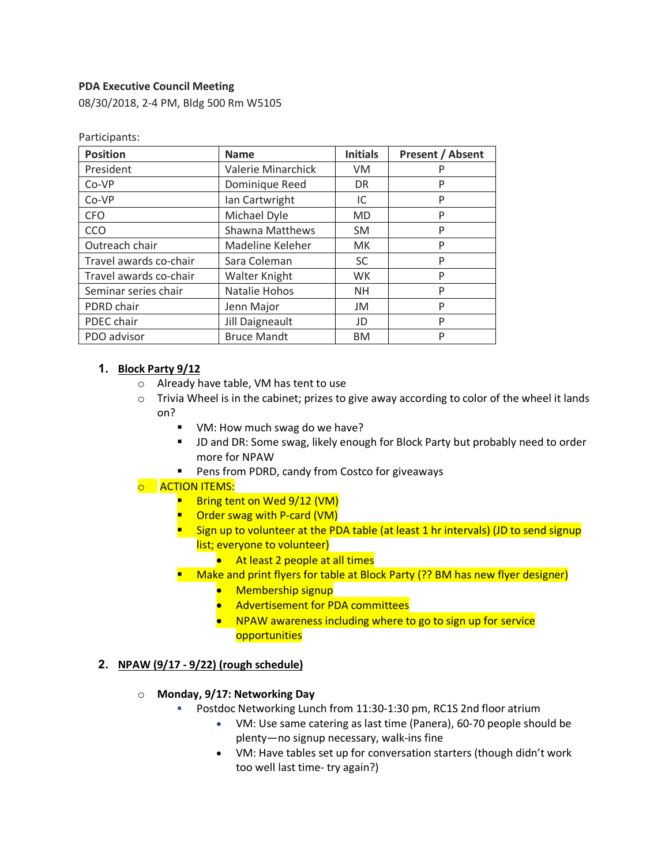### **PDA Executive Council Meeting**

Particinants:

08/30/2018, 2-4 PM, Bldg 500 Rm W5105

| <b>Position</b>        | <b>Name</b>            | <b>Initials</b> | <b>Present / Absent</b> |
|------------------------|------------------------|-----------------|-------------------------|
| President              | Valerie Minarchick     | VM              | P                       |
| Co-VP                  | Dominique Reed         | <b>DR</b>       | P                       |
| Co-VP                  | Ian Cartwright         | IC              | P                       |
| <b>CFO</b>             | Michael Dyle           | <b>MD</b>       | P                       |
| CCO                    | <b>Shawna Matthews</b> | <b>SM</b>       | P                       |
| Outreach chair         | Madeline Keleher       | <b>MK</b>       | P                       |
| Travel awards co-chair | Sara Coleman           | <b>SC</b>       | P                       |
| Travel awards co-chair | Walter Knight          | WK.             | P                       |
| Seminar series chair   | Natalie Hohos          | NH.             | P                       |
| PDRD chair             | Jenn Major             | JM              | P                       |
| PDEC chair             | Jill Daigneault        | JD              | P                       |
| PDO advisor            | <b>Bruce Mandt</b>     | <b>BM</b>       | P                       |

#### **1. Block Party 9/12**

- o Already have table, VM has tent to use
- $\circ$  Trivia Wheel is in the cabinet; prizes to give away according to color of the wheel it lands on?
	- VM: How much swag do we have?
	- § JD and DR: Some swag, likely enough for Block Party but probably need to order more for NPAW
	- Pens from PDRD, candy from Costco for giveaways

#### o **ACTION ITEMS:**

- Bring tent on Wed 9/12 (VM)
- Order swag with P-card (VM)
- Sign up to volunteer at the PDA table (at least 1 hr intervals) (JD to send signup list; everyone to volunteer)
	- At least 2 people at all times

■ Make and print flyers for table at Block Party (?? BM has new flyer designer)

- Membership signup
- Advertisement for PDA committees
- NPAW awareness including where to go to sign up for service **opportunities**

#### **2. NPAW (9/17 - 9/22) (rough schedule)**

#### o **Monday, 9/17: Networking Day**

- § Postdoc Networking Lunch from 11:30-1:30 pm, RC1S 2nd floor atrium
	- VM: Use same catering as last time (Panera), 60-70 people should be plenty—no signup necessary, walk-ins fine
	- VM: Have tables set up for conversation starters (though didn't work too well last time- try again?)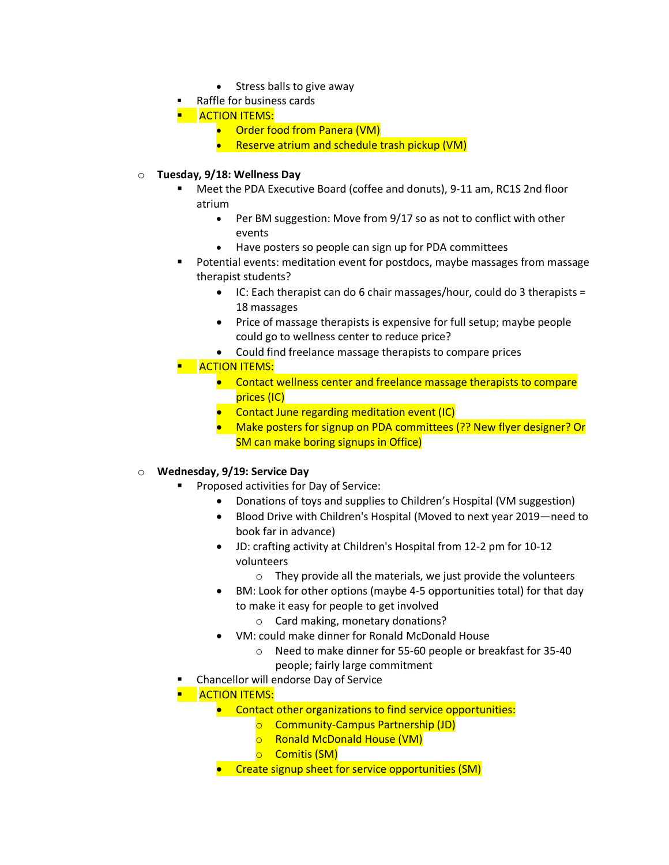- Stress balls to give away
- § Raffle for business cards
- **E** ACTION ITEMS:
	- Order food from Panera (VM)
	- Reserve atrium and schedule trash pickup (VM)

### o **Tuesday, 9/18: Wellness Day**

- § Meet the PDA Executive Board (coffee and donuts), 9-11 am, RC1S 2nd floor atrium
	- Per BM suggestion: Move from 9/17 so as not to conflict with other events
	- Have posters so people can sign up for PDA committees
- § Potential events: meditation event for postdocs, maybe massages from massage therapist students?
	- IC: Each therapist can do 6 chair massages/hour, could do 3 therapists = 18 massages
	- Price of massage therapists is expensive for full setup; maybe people could go to wellness center to reduce price?
	- Could find freelance massage therapists to compare prices
- **E** ACTION ITEMS:
	- Contact wellness center and freelance massage therapists to compare prices (IC)
	- Contact June regarding meditation event (IC)
	- Make posters for signup on PDA committees (?? New flyer designer? Or SM can make boring signups in Office)

#### o **Wednesday, 9/19: Service Day**

- § Proposed activities for Day of Service:
	- Donations of toys and supplies to Children's Hospital (VM suggestion)
	- Blood Drive with Children's Hospital (Moved to next year 2019—need to book far in advance)
	- JD: crafting activity at Children's Hospital from 12-2 pm for 10-12 volunteers
		- $\circ$  They provide all the materials, we just provide the volunteers
	- BM: Look for other options (maybe 4-5 opportunities total) for that day to make it easy for people to get involved
		- o Card making, monetary donations?
	- VM: could make dinner for Ronald McDonald House
		- o Need to make dinner for 55-60 people or breakfast for 35-40 people; fairly large commitment
- § Chancellor will endorse Day of Service
- **E** ACTION ITEMS:
	- Contact other organizations to find service opportunities:
		- o Community-Campus Partnership (JD)
		- o Ronald McDonald House (VM)
		- o Comitis (SM)
	- Create signup sheet for service opportunities (SM)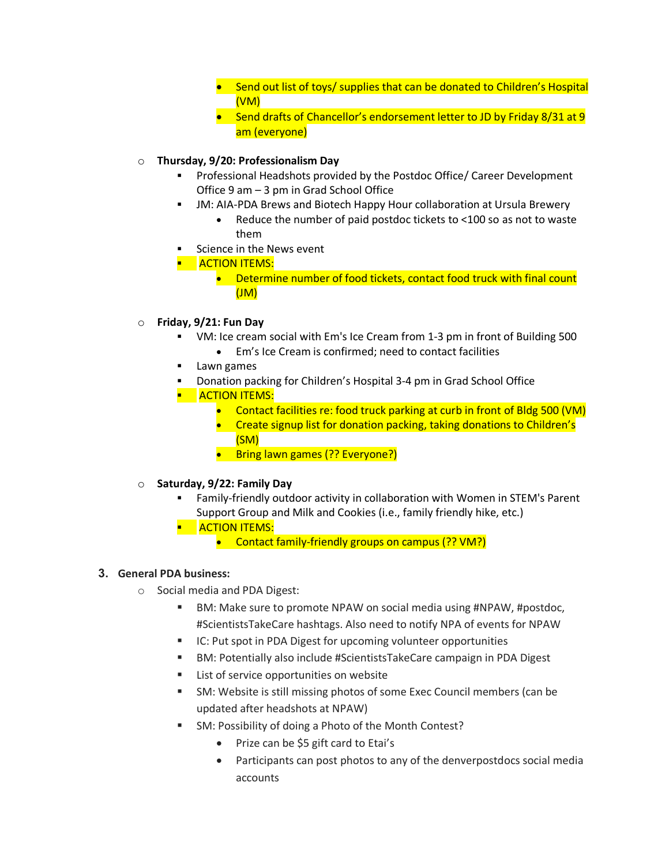- Send out list of toys/ supplies that can be donated to Children's Hospital (VM)
- Send drafts of Chancellor's endorsement letter to JD by Friday 8/31 at 9 am (everyone)

### o **Thursday, 9/20: Professionalism Day**

- § Professional Headshots provided by the Postdoc Office/ Career Development Office 9 am – 3 pm in Grad School Office
- JM: AIA-PDA Brews and Biotech Happy Hour collaboration at Ursula Brewery
	- Reduce the number of paid postdoc tickets to <100 so as not to waste them
- Science in the News event
- **E** ACTION ITEMS:
	- Determine number of food tickets, contact food truck with final count (JM)
- o **Friday, 9/21: Fun Day**
	- § VM: Ice cream social with Em's Ice Cream from 1-3 pm in front of Building 500
		- Em's Ice Cream is confirmed; need to contact facilities
	- § Lawn games
	- § Donation packing for Children's Hospital 3-4 pm in Grad School Office
	- **E** ACTION ITEMS:
		- Contact facilities re: food truck parking at curb in front of Bldg 500 (VM)
		- Create signup list for donation packing, taking donations to Children's (SM)
		- Bring lawn games (?? Everyone?)
- o **Saturday, 9/22: Family Day**
	- § Family-friendly outdoor activity in collaboration with Women in STEM's Parent Support Group and Milk and Cookies (i.e., family friendly hike, etc.)
	- **E** ACTION ITEMS:
		- Contact family-friendly groups on campus (?? VM?)

## **3. General PDA business:**

- o Social media and PDA Digest:
	- BM: Make sure to promote NPAW on social media using #NPAW, #postdoc, #ScientistsTakeCare hashtags. Also need to notify NPA of events for NPAW
	- IC: Put spot in PDA Digest for upcoming volunteer opportunities
	- § BM: Potentially also include #ScientistsTakeCare campaign in PDA Digest
	- List of service opportunities on website
	- § SM: Website is still missing photos of some Exec Council members (can be updated after headshots at NPAW)
	- § SM: Possibility of doing a Photo of the Month Contest?
		- Prize can be \$5 gift card to Etai's
		- Participants can post photos to any of the denverpostdocs social media accounts